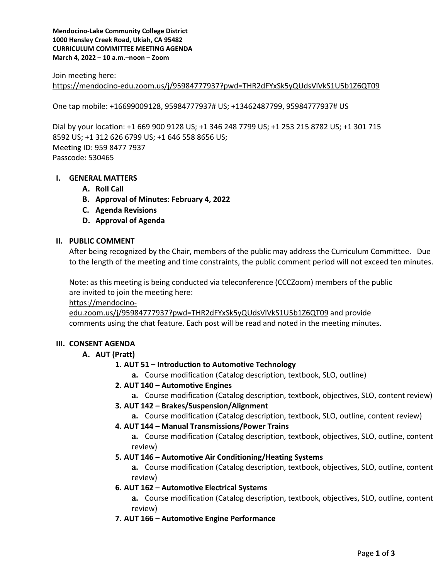**Mendocino-Lake Community College District 1000 Hensley Creek Road, Ukiah, CA 95482 CURRICULUM COMMITTEE MEETING AGENDA March 4, 2022 – 10 a.m.–noon – Zoom**

Join meeting here: <https://mendocino-edu.zoom.us/j/95984777937?pwd=THR2dFYxSk5yQUdsVlVkS1U5b1Z6QT09>

One tap mobile: +16699009128, 95984777937# US; +13462487799, 95984777937# US

Dial by your location: +1 669 900 9128 US; +1 346 248 7799 US; +1 253 215 8782 US; +1 301 715 8592 US; +1 312 626 6799 US; +1 646 558 8656 US; Meeting ID: 959 8477 7937 Passcode: 530465

# **I. GENERAL MATTERS**

- **A. Roll Call**
- **B. Approval of Minutes: February 4, 2022**
- **C. Agenda Revisions**
- **D. Approval of Agenda**

### **II. PUBLIC COMMENT**

After being recognized by the Chair, members of the public may address the Curriculum Committee. Due to the length of the meeting and time constraints, the public comment period will not exceed ten minutes.

Note: as this meeting is being conducted via teleconference (CCCZoom) members of the public are invited to join the meeting here:

[https://mendocino-](https://mendocino-edu.zoom.us/j/95984777937?pwd=THR2dFYxSk5yQUdsVlVkS1U5b1Z6QT09)

[edu.zoom.us/j/95984777937?pwd=THR2dFYxSk5yQUdsVlVkS1U5b1Z6QT09](https://mendocino-edu.zoom.us/j/95984777937?pwd=THR2dFYxSk5yQUdsVlVkS1U5b1Z6QT09) and provide comments using the chat feature. Each post will be read and noted in the meeting minutes.

### **III. CONSENT AGENDA**

### **A. AUT (Pratt)**

### **1. AUT 51 – Introduction to Automotive Technology**

- **a.** Course modification (Catalog description, textbook, SLO, outline)
- **2. AUT 140 – Automotive Engines**
	- **a.** Course modification (Catalog description, textbook, objectives, SLO, content review)

### **3. AUT 142 – Brakes/Suspension/Alignment**

- **a.** Course modification (Catalog description, textbook, SLO, outline, content review)
- **4. AUT 144 – Manual Transmissions/Power Trains**
	- **a.** Course modification (Catalog description, textbook, objectives, SLO, outline, content review)
- **5. AUT 146 – Automotive Air Conditioning/Heating Systems**

**a.** Course modification (Catalog description, textbook, objectives, SLO, outline, content review)

- **6. AUT 162 – Automotive Electrical Systems**
	- **a.** Course modification (Catalog description, textbook, objectives, SLO, outline, content review)
- **7. AUT 166 – Automotive Engine Performance**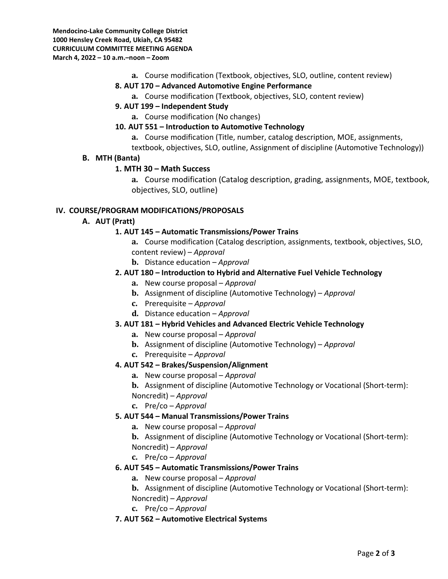**Mendocino-Lake Community College District 1000 Hensley Creek Road, Ukiah, CA 95482 CURRICULUM COMMITTEE MEETING AGENDA March 4, 2022 – 10 a.m.–noon – Zoom**

**a.** Course modification (Textbook, objectives, SLO, outline, content review)

### **8. AUT 170 – Advanced Automotive Engine Performance**

**a.** Course modification (Textbook, objectives, SLO, content review)

## **9. AUT 199 – Independent Study**

**a.** Course modification (No changes)

### **10. AUT 551 – Introduction to Automotive Technology**

- **a.** Course modification (Title, number, catalog description, MOE, assignments,
- textbook, objectives, SLO, outline, Assignment of discipline (Automotive Technology))

### **B. MTH (Banta)**

## **1. MTH 30 – Math Success**

**a.** Course modification (Catalog description, grading, assignments, MOE, textbook, objectives, SLO, outline)

### **IV. COURSE/PROGRAM MODIFICATIONS/PROPOSALS**

## **A. AUT (Pratt)**

## **1. AUT 145 – Automatic Transmissions/Power Trains**

- **a.** Course modification (Catalog description, assignments, textbook, objectives, SLO, content review) – *Approval*
- **b.** Distance education *Approval*

## **2. AUT 180 – Introduction to Hybrid and Alternative Fuel Vehicle Technology**

- **a.** New course proposal *Approval*
- **b.** Assignment of discipline (Automotive Technology) *Approval*
- **c.** Prerequisite *Approval*
- **d.** Distance education *Approval*

### **3. AUT 181 – Hybrid Vehicles and Advanced Electric Vehicle Technology**

- **a.** New course proposal *Approval*
- **b.** Assignment of discipline (Automotive Technology) *Approval*
- **c.** Prerequisite *Approval*

## **4. AUT 542 – Brakes/Suspension/Alignment**

- **a.** New course proposal *Approval*
- **b.** Assignment of discipline (Automotive Technology or Vocational (Short-term):
- Noncredit) *Approval*
- **c.** Pre/co *Approval*

# **5. AUT 544 – Manual Transmissions/Power Trains**

- **a.** New course proposal *Approval*
- **b.** Assignment of discipline (Automotive Technology or Vocational (Short-term):
- Noncredit) *Approval*
- **c.** Pre/co *Approval*

# **6. AUT 545 – Automatic Transmissions/Power Trains**

**a.** New course proposal – *Approval* 

**b.** Assignment of discipline (Automotive Technology or Vocational (Short-term): Noncredit) – *Approval*

**c.** Pre/co – *Approval*

# **7. AUT 562 – Automotive Electrical Systems**